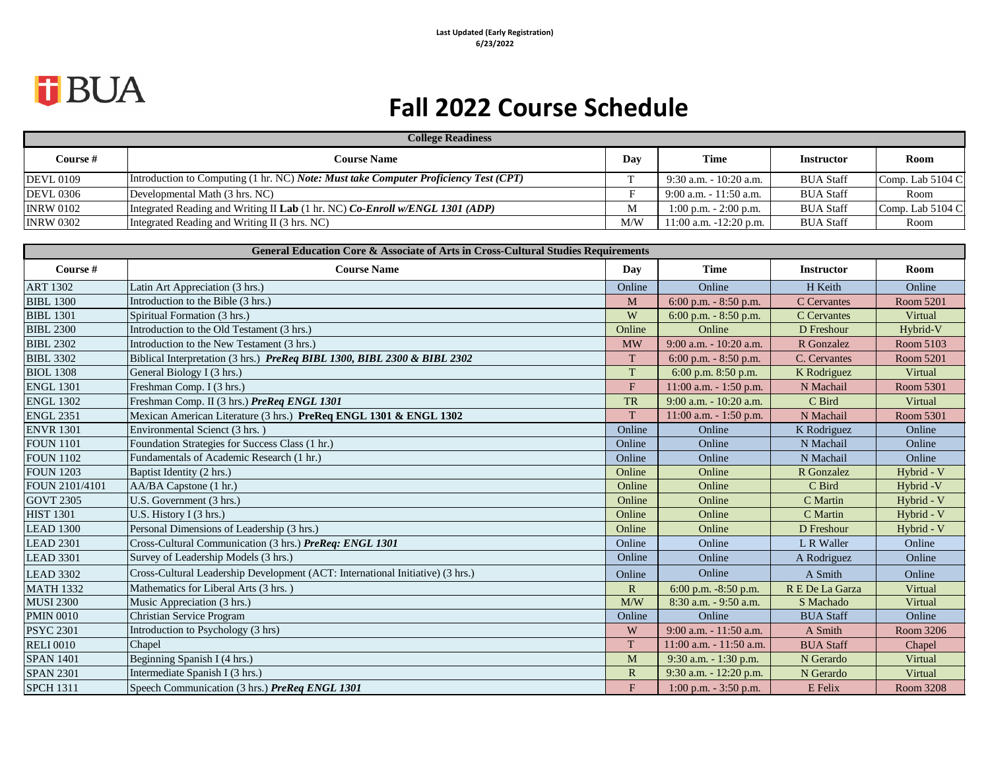# *<u>J</u>BUA*

## **Fall 2022 Course Schedule**

| <b>College Readiness</b> |                                                                                      |     |                            |                   |                  |  |
|--------------------------|--------------------------------------------------------------------------------------|-----|----------------------------|-------------------|------------------|--|
| <b>Course</b> #          | <b>Course Name</b>                                                                   | Day | Time                       | <b>Instructor</b> | Room             |  |
| <b>DEVL 0109</b>         | Introduction to Computing (1 hr. NC) Note: Must take Computer Proficiency Test (CPT) |     | $9:30$ a.m. $-10:20$ a.m.  | <b>BUA Staff</b>  | Comp. Lab 5104 C |  |
| <b>DEVL 0306</b>         | Developmental Math (3 hrs. NC)                                                       |     | $9:00$ a.m. $-11:50$ a.m.  | <b>BUA Staff</b>  | Room             |  |
| <b>INRW 0102</b>         | Integrated Reading and Writing II Lab (1 hr. NC) Co-Enroll w/ENGL 1301 (ADP)         | M   | $1:00$ p.m. $-2:00$ p.m.   | <b>BUA Staff</b>  | Comp. Lab 5104 C |  |
| <b>INRW 0302</b>         | Integrated Reading and Writing II (3 hrs. NC)                                        | M/W | $11:00$ a.m. $-12:20$ p.m. | <b>BUA Staff</b>  | Room             |  |

| <b>General Education Core &amp; Associate of Arts in Cross-Cultural Studies Requirements</b> |                                                                                |                |                           |                   |            |  |
|----------------------------------------------------------------------------------------------|--------------------------------------------------------------------------------|----------------|---------------------------|-------------------|------------|--|
| Course #                                                                                     | <b>Course Name</b>                                                             | Day            | <b>Time</b>               | <b>Instructor</b> | Room       |  |
| <b>ART 1302</b>                                                                              | Latin Art Appreciation (3 hrs.)                                                | Online         | Online                    | H Keith           | Online     |  |
| <b>BIBL 1300</b>                                                                             | Introduction to the Bible (3 hrs.)                                             | M              | 6:00 p.m. - 8:50 p.m.     | C Cervantes       | Room 5201  |  |
| <b>BIBL 1301</b>                                                                             | Spiritual Formation (3 hrs.)                                                   | W              | 6:00 p.m. $-8:50$ p.m.    | C Cervantes       | Virtual    |  |
| <b>BIBL 2300</b>                                                                             | Introduction to the Old Testament (3 hrs.)                                     | Online         | Online                    | D Freshour        | Hybrid-V   |  |
| <b>BIBL 2302</b>                                                                             | Introduction to the New Testament (3 hrs.)                                     | <b>MW</b>      | 9:00 a.m. - 10:20 a.m.    | R Gonzalez        | Room 5103  |  |
| <b>BIBL 3302</b>                                                                             | Biblical Interpretation (3 hrs.) PreReq BIBL 1300, BIBL 2300 & BIBL 2302       | T              | $6:00$ p.m. $-8:50$ p.m.  | C. Cervantes      | Room 5201  |  |
| <b>BIOL 1308</b>                                                                             | General Biology I (3 hrs.)                                                     | T              | 6:00 p.m. 8:50 p.m.       | K Rodriguez       | Virtual    |  |
| <b>ENGL 1301</b>                                                                             | Freshman Comp. I (3 hrs.)                                                      | F              | 11:00 a.m. - 1:50 p.m.    | N Machail         | Room 5301  |  |
| <b>ENGL 1302</b>                                                                             | Freshman Comp. II (3 hrs.) PreReq ENGL 1301                                    | <b>TR</b>      | 9:00 a.m. - 10:20 a.m.    | C Bird            | Virtual    |  |
| <b>ENGL 2351</b>                                                                             | Mexican American Literature (3 hrs.) PreReq ENGL 1301 & ENGL 1302              | T              | 11:00 a.m. $-1:50$ p.m.   | N Machail         | Room 5301  |  |
| <b>ENVR 1301</b>                                                                             | Environmental Scienct (3 hrs.)                                                 | Online         | Online                    | K Rodriguez       | Online     |  |
| <b>FOUN 1101</b>                                                                             | Foundation Strategies for Success Class (1 hr.)                                | Online         | Online                    | N Machail         | Online     |  |
| <b>FOUN 1102</b>                                                                             | Fundamentals of Academic Research (1 hr.)                                      | Online         | Online                    | N Machail         | Online     |  |
| <b>FOUN 1203</b>                                                                             | Baptist Identity (2 hrs.)                                                      | Online         | Online                    | R Gonzalez        | Hybrid - V |  |
| FOUN 2101/4101                                                                               | AA/BA Capstone (1 hr.)                                                         | Online         | Online                    | C Bird            | Hybrid -V  |  |
| <b>GOVT 2305</b>                                                                             | U.S. Government (3 hrs.)                                                       | Online         | Online                    | C Martin          | Hybrid - V |  |
| <b>HIST 1301</b>                                                                             | U.S. History I (3 hrs.)                                                        | Online         | Online                    | C Martin          | Hybrid - V |  |
| <b>LEAD 1300</b>                                                                             | Personal Dimensions of Leadership (3 hrs.)                                     | Online         | Online                    | D Freshour        | Hybrid - V |  |
| <b>LEAD 2301</b>                                                                             | Cross-Cultural Communication (3 hrs.) PreReq: ENGL 1301                        | Online         | Online                    | L R Waller        | Online     |  |
| <b>LEAD 3301</b>                                                                             | Survey of Leadership Models (3 hrs.)                                           | Online         | Online                    | A Rodriguez       | Online     |  |
| <b>LEAD 3302</b>                                                                             | Cross-Cultural Leadership Development (ACT: International Initiative) (3 hrs.) | Online         | Online                    | A Smith           | Online     |  |
| <b>MATH 1332</b>                                                                             | Mathematics for Liberal Arts (3 hrs.)                                          | $\overline{R}$ | 6:00 p.m. -8:50 p.m.      | R E De La Garza   | Virtual    |  |
| <b>MUSI 2300</b>                                                                             | Music Appreciation (3 hrs.)                                                    | M/W            | 8:30 a.m. - 9:50 a.m.     | S Machado         | Virtual    |  |
| <b>PMIN 0010</b>                                                                             | Christian Service Program                                                      | Online         | Online                    | <b>BUA Staff</b>  | Online     |  |
| <b>PSYC 2301</b>                                                                             | Introduction to Psychology (3 hrs)                                             | W              | $9:00$ a.m. $-11:50$ a.m. | A Smith           | Room 3206  |  |
| <b>RELI 0010</b>                                                                             | Chapel                                                                         | T.             | 11:00 a.m. - 11:50 a.m.   | <b>BUA Staff</b>  | Chapel     |  |
| <b>SPAN 1401</b>                                                                             | Beginning Spanish I (4 hrs.)                                                   | M              | 9:30 a.m. - 1:30 p.m.     | N Gerardo         | Virtual    |  |
| <b>SPAN 2301</b>                                                                             | Intermediate Spanish I (3 hrs.)                                                | $\mathbb{R}$   | 9:30 a.m. - 12:20 p.m.    | N Gerardo         | Virtual    |  |
| <b>SPCH 1311</b>                                                                             | Speech Communication (3 hrs.) PreReq ENGL 1301                                 | F              | 1:00 p.m. $-3:50$ p.m.    | E Felix           | Room 3208  |  |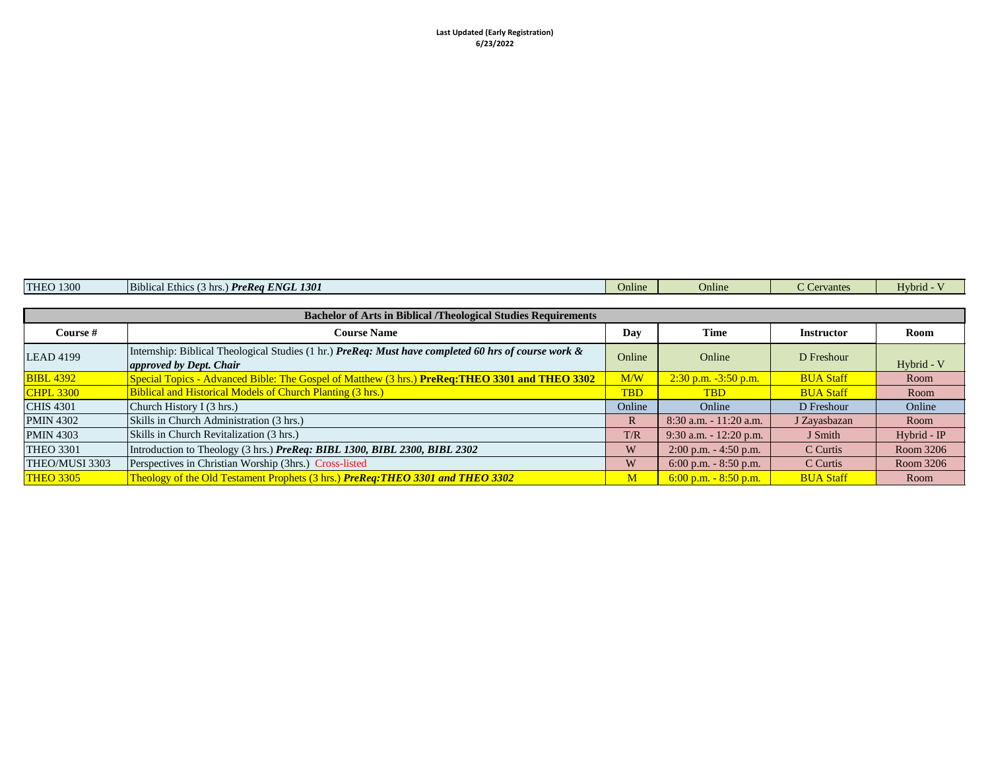| <b>THEO 1300</b> | <b>PreRea ENGL 1301</b><br>$\overline{\phantom{0}}$<br>ΙB.<br>blical Ethic.<br>$^{\circ}$ hrs | Jnline | Online | ervantes<br>$\sim$ $\sim$ $\sim$ | Hybrid |
|------------------|-----------------------------------------------------------------------------------------------|--------|--------|----------------------------------|--------|
|                  |                                                                                               |        |        |                                  |        |

| <b>Bachelor of Arts in Biblical /Theological Studies Requirements</b> |                                                                                                                                        |              |                           |                   |               |  |
|-----------------------------------------------------------------------|----------------------------------------------------------------------------------------------------------------------------------------|--------------|---------------------------|-------------------|---------------|--|
| Course #                                                              | <b>Course Name</b>                                                                                                                     | Day          | Time                      | <b>Instructor</b> | Room          |  |
| <b>LEAD 4199</b>                                                      | Internship: Biblical Theological Studies (1 hr.) PreReq: Must have completed 60 hrs of course work &<br><i>approved by Dept. Chair</i> | Online       | Online                    | D Freshour        | Hybrid - V    |  |
| <b>BIBL 4392</b>                                                      | Special Topics - Advanced Bible: The Gospel of Matthew (3 hrs.) PreReq: THEO 3301 and THEO 3302                                        | M/W          | $2:30$ p.m. $-3:50$ p.m.  | <b>BUA Staff</b>  | Room          |  |
| <b>CHPL 3300</b>                                                      | <b>Biblical and Historical Models of Church Planting (3 hrs.)</b>                                                                      | <b>TBD</b>   | <b>TBD</b>                | <b>BUA Staff</b>  | Room          |  |
| <b>CHIS 4301</b>                                                      | Church History I (3 hrs.)                                                                                                              | Online       | Online                    | D Freshour        | Online        |  |
| <b>PMIN 4302</b>                                                      | Skills in Church Administration (3 hrs.)                                                                                               | $\mathbb{R}$ | $8:30$ a.m. $-11:20$ a.m. | J Zayasbazan      | Room          |  |
| <b>PMIN 4303</b>                                                      | Skills in Church Revitalization (3 hrs.)                                                                                               | T/R          | $9:30$ a.m. $-12:20$ p.m. | J Smith           | $Hybrid - IP$ |  |
| <b>THEO 3301</b>                                                      | Introduction to Theology (3 hrs.) PreReq: BIBL 1300, BIBL 2300, BIBL 2302                                                              | W            | $2:00$ p.m. $-4:50$ p.m.  | C Curtis          | Room 3206     |  |
| THEO/MUSI 3303                                                        | Perspectives in Christian Worship (3hrs.) Cross-listed                                                                                 | W            | 6:00 p.m. $-8:50$ p.m.    | C Curtis          | Room 3206     |  |
| <b>THEO 3305</b>                                                      | Theology of the Old Testament Prophets (3 hrs.) PreReq: THEO 3301 and THEO 3302                                                        | M            | $6:00$ p.m. $-8:50$ p.m.  | <b>BUA Staff</b>  | Room          |  |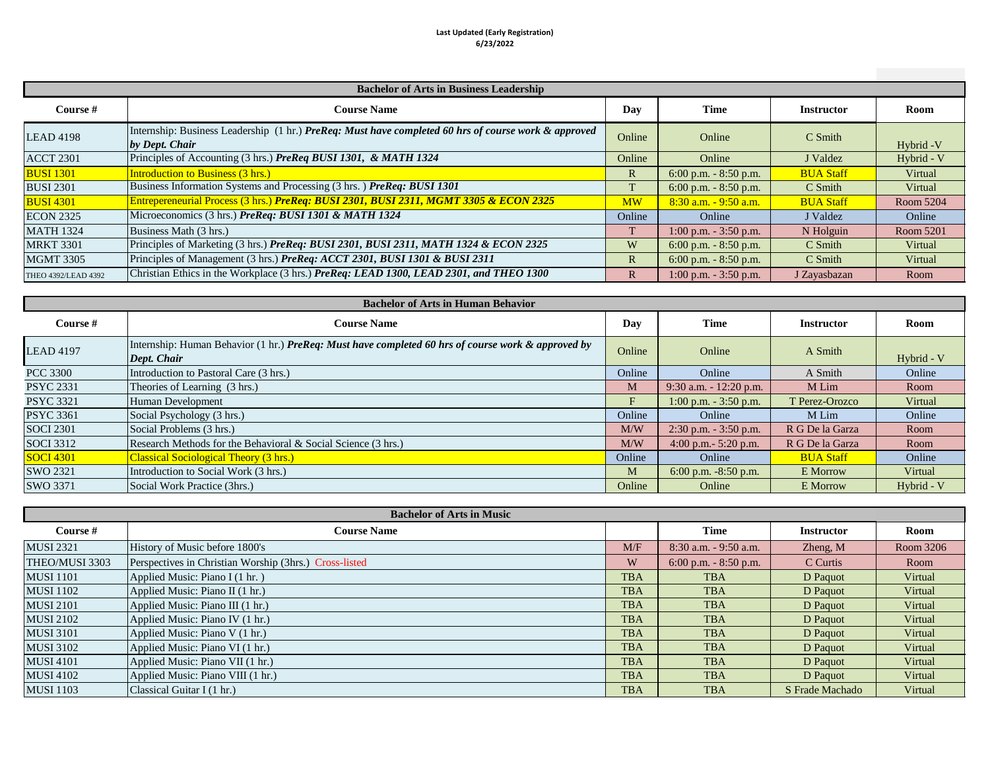#### **Last Updated (Early Registration) 6/23/2022**

| <b>Bachelor of Arts in Business Leadership</b> |                                                                                                                        |              |                          |                   |            |
|------------------------------------------------|------------------------------------------------------------------------------------------------------------------------|--------------|--------------------------|-------------------|------------|
| Course #                                       | <b>Course Name</b>                                                                                                     | Day          | <b>Time</b>              | <b>Instructor</b> | Room       |
| <b>LEAD 4198</b>                               | Internship: Business Leadership (1 hr.) PreReq: Must have completed 60 hrs of course work & approved<br>by Dept. Chair | Online       | Online                   | C Smith           | Hybrid - V |
| <b>ACCT 2301</b>                               | Principles of Accounting (3 hrs.) PreReq BUSI 1301, & MATH 1324                                                        | Online       | Online                   | J Valdez          | Hybrid - V |
| <b>BUSI 1301</b>                               | <b>Introduction to Business (3 hrs.)</b>                                                                               | $\mathbb{R}$ | 6:00 p.m. $-8:50$ p.m.   | <b>BUA Staff</b>  | Virtual    |
| <b>BUSI 2301</b>                               | Business Information Systems and Processing (3 hrs.) PreReq: BUSI 1301                                                 | T            | 6:00 p.m. $-8:50$ p.m.   | $C$ Smith         | Virtual    |
| <b>BUSI 4301</b>                               | Entrepereneurial Process (3 hrs.) PreReq: BUSI 2301, BUSI 2311, MGMT 3305 & ECON 2325                                  | <b>MW</b>    | $8:30$ a.m. $-9:50$ a.m. | <b>BUA Staff</b>  | Room 5204  |
| <b>ECON 2325</b>                               | Microeconomics (3 hrs.) PreReq: BUSI 1301 & MATH 1324                                                                  | Online       | Online                   | J Valdez          | Online     |
| <b>MATH 1324</b>                               | Business Math (3 hrs.)                                                                                                 | T            | $1:00$ p.m. $-3:50$ p.m. | N Holguin         | Room 5201  |
| <b>MRKT 3301</b>                               | Principles of Marketing (3 hrs.) PreReq: BUSI 2301, BUSI 2311, MATH 1324 & ECON 2325                                   | W            | 6:00 p.m. $-8:50$ p.m.   | C Smith           | Virtual    |
| <b>MGMT 3305</b>                               | Principles of Management (3 hrs.) PreReq: ACCT 2301, BUSI 1301 & BUSI 2311                                             | $\mathbb{R}$ | 6:00 p.m. $-8:50$ p.m.   | C Smith           | Virtual    |
| THEO 4392/LEAD 4392                            | Christian Ethics in the Workplace (3 hrs.) PreReq: LEAD 1300, LEAD 2301, and THEO 1300                                 | $\mathbb{R}$ | $1:00$ p.m. $-3:50$ p.m. | J Zayasbazan      | Room       |

| <b>Bachelor of Arts in Human Behavior</b> |                                                                                                                   |                   |                           |                  |            |  |
|-------------------------------------------|-------------------------------------------------------------------------------------------------------------------|-------------------|---------------------------|------------------|------------|--|
| Course #                                  | Time                                                                                                              | <b>Instructor</b> | Room                      |                  |            |  |
| <b>LEAD 4197</b>                          | Internship: Human Behavior (1 hr.) PreReq: Must have completed 60 hrs of course work & approved by<br>Dept. Chair | Online            | Online                    | A Smith          | Hybrid - V |  |
| <b>PCC 3300</b>                           | Introduction to Pastoral Care (3 hrs.)                                                                            | Online            | Online                    | A Smith          | Online     |  |
| <b>PSYC 2331</b>                          | Theories of Learning (3 hrs.)                                                                                     | M                 | $9:30$ a.m. $-12:20$ p.m. | M Lim            | Room       |  |
| <b>PSYC 3321</b>                          | Human Development                                                                                                 | F                 | $1:00$ p.m. $-3:50$ p.m.  | T Perez-Orozco   | Virtual    |  |
| <b>PSYC 3361</b>                          | Social Psychology (3 hrs.)                                                                                        | Online            | Online                    | M Lim            | Online     |  |
| <b>SOCI 2301</b>                          | Social Problems (3 hrs.)                                                                                          | M/W               | $2:30$ p.m. $-3:50$ p.m.  | R G De la Garza  | Room       |  |
| <b>SOCI</b> 3312                          | Research Methods for the Behavioral & Social Science (3 hrs.)                                                     | M/W               | 4:00 p.m. $-$ 5:20 p.m.   | R G De la Garza  | Room       |  |
| <b>SOCI 4301</b>                          | <b>Classical Sociological Theory (3 hrs.)</b>                                                                     | Online            | Online                    | <b>BUA Staff</b> | Online     |  |
| SWO 2321                                  | Introduction to Social Work (3 hrs.)                                                                              | M                 | 6:00 p.m. $-8:50$ p.m.    | E Morrow         | Virtual    |  |
| SWO 3371                                  | Social Work Practice (3hrs.)                                                                                      | Online            | Online                    | E Morrow         | Hybrid - V |  |

| <b>Bachelor of Arts in Music</b> |                                                        |            |                          |                   |           |
|----------------------------------|--------------------------------------------------------|------------|--------------------------|-------------------|-----------|
| Course #                         | <b>Course Name</b>                                     |            | Time                     | <b>Instructor</b> | Room      |
| <b>MUSI 2321</b>                 | History of Music before 1800's                         | M/F        | $8:30$ a.m. $-9:50$ a.m. | $Z$ heng, $M$     | Room 3206 |
| THEO/MUSI 3303                   | Perspectives in Christian Worship (3hrs.) Cross-listed | W          | 6:00 p.m. $-8:50$ p.m.   | C Curtis          | Room      |
| <b>MUSI</b> 1101                 | Applied Music: Piano I (1 hr.)                         | <b>TBA</b> | <b>TBA</b>               | D Paquot          | Virtual   |
| <b>MUSI</b> 1102                 | Applied Music: Piano II (1 hr.)                        | <b>TBA</b> | <b>TBA</b>               | D Paquot          | Virtual   |
| <b>MUSI 2101</b>                 | Applied Music: Piano III (1 hr.)                       | <b>TBA</b> | <b>TBA</b>               | D Paquot          | Virtual   |
| <b>MUSI 2102</b>                 | Applied Music: Piano IV (1 hr.)                        | <b>TBA</b> | <b>TBA</b>               | D Paquot          | Virtual   |
| <b>MUSI 3101</b>                 | Applied Music: Piano V (1 hr.)                         | <b>TBA</b> | <b>TBA</b>               | D Paquot          | Virtual   |
| <b>MUSI 3102</b>                 | Applied Music: Piano VI (1 hr.)                        | <b>TBA</b> | <b>TBA</b>               | D Paquot          | Virtual   |
| <b>MUSI 4101</b>                 | Applied Music: Piano VII (1 hr.)                       | <b>TBA</b> | <b>TBA</b>               | D Paquot          | Virtual   |
| <b>MUSI 4102</b>                 | Applied Music: Piano VIII (1 hr.)                      | <b>TBA</b> | <b>TBA</b>               | D Paquot          | Virtual   |
| <b>MUSI</b> 1103                 | Classical Guitar I (1 hr.)                             | <b>TBA</b> | <b>TBA</b>               | S Frade Machado   | Virtual   |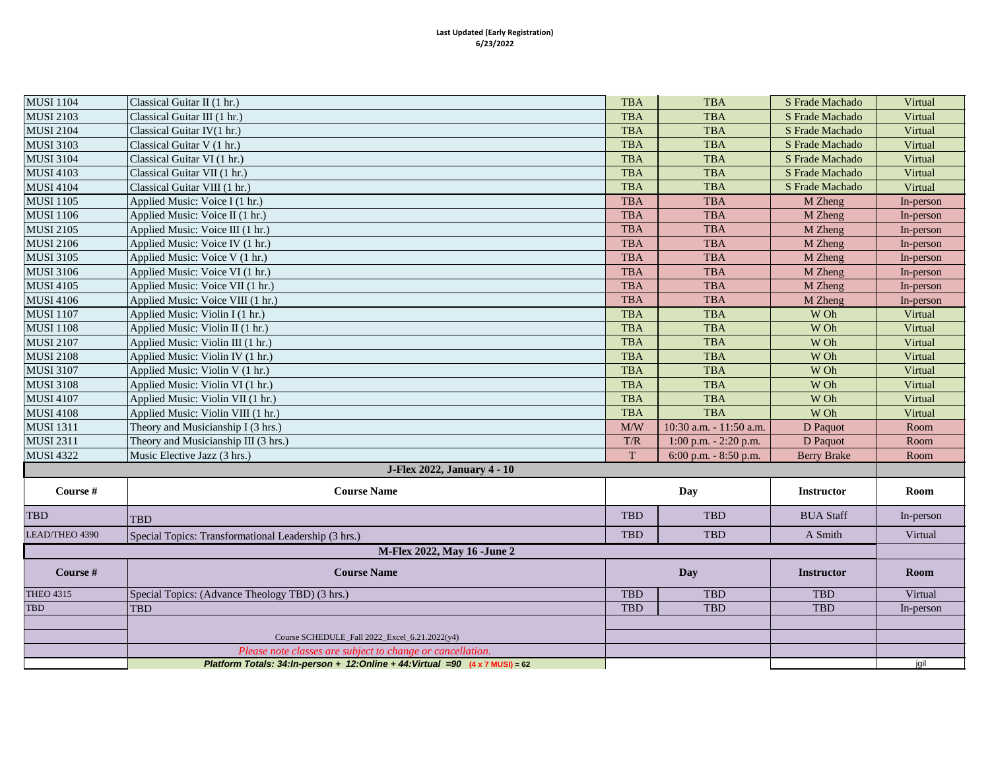#### **Last Updated (Early Registration) 6/23/2022**

| <b>MUSI 1104</b> | Classical Guitar II (1 hr.)                                                     | <b>TBA</b>               | <b>TBA</b>              | S Frade Machado    | Virtual   |
|------------------|---------------------------------------------------------------------------------|--------------------------|-------------------------|--------------------|-----------|
| <b>MUSI 2103</b> | Classical Guitar III (1 hr.)                                                    | <b>TBA</b>               | <b>TBA</b>              | S Frade Machado    | Virtual   |
| <b>MUSI 2104</b> | Classical Guitar IV(1 hr.)                                                      | TBA                      | <b>TBA</b>              | S Frade Machado    | Virtual   |
| <b>MUSI 3103</b> | Classical Guitar V (1 hr.)                                                      | <b>TBA</b>               | <b>TBA</b>              | S Frade Machado    | Virtual   |
| <b>MUSI 3104</b> | Classical Guitar VI (1 hr.)                                                     | <b>TBA</b>               | <b>TBA</b>              | S Frade Machado    | Virtual   |
| <b>MUSI 4103</b> | Classical Guitar VII (1 hr.)                                                    | <b>TBA</b>               | <b>TBA</b>              | S Frade Machado    | Virtual   |
| <b>MUSI 4104</b> | Classical Guitar VIII (1 hr.)                                                   | <b>TBA</b>               | <b>TBA</b>              | S Frade Machado    | Virtual   |
| <b>MUSI 1105</b> | Applied Music: Voice I (1 hr.)                                                  | <b>TBA</b>               | <b>TBA</b>              | M Zheng            | In-person |
| <b>MUSI 1106</b> | Applied Music: Voice II (1 hr.)                                                 | <b>TBA</b>               | <b>TBA</b>              | M Zheng            | In-person |
| <b>MUSI 2105</b> | Applied Music: Voice III (1 hr.)                                                | <b>TBA</b>               | <b>TBA</b>              | M Zheng            | In-person |
| <b>MUSI 2106</b> | Applied Music: Voice IV (1 hr.)                                                 | <b>TBA</b>               | <b>TBA</b>              | M Zheng            | In-person |
| <b>MUSI 3105</b> | Applied Music: Voice V (1 hr.)                                                  | <b>TBA</b>               | <b>TBA</b>              | M Zheng            | In-person |
| <b>MUSI 3106</b> | Applied Music: Voice VI (1 hr.)                                                 | <b>TBA</b>               | <b>TBA</b>              | M Zheng            | In-person |
| <b>MUSI 4105</b> | Applied Music: Voice VII (1 hr.)                                                | <b>TBA</b>               | <b>TBA</b>              | M Zheng            | In-person |
| <b>MUSI 4106</b> | Applied Music: Voice VIII (1 hr.)                                               | <b>TBA</b>               | <b>TBA</b>              | M Zheng            | In-person |
| <b>MUSI 1107</b> | Applied Music: Violin I (1 hr.)                                                 | <b>TBA</b>               | <b>TBA</b>              | W Oh               | Virtual   |
| <b>MUSI 1108</b> | Applied Music: Violin II (1 hr.)                                                | <b>TBA</b>               | <b>TBA</b>              | W Oh               | Virtual   |
| <b>MUSI 2107</b> | Applied Music: Violin III (1 hr.)                                               | <b>TBA</b>               | <b>TBA</b>              | W Oh               | Virtual   |
| <b>MUSI 2108</b> | Applied Music: Violin IV (1 hr.)                                                | <b>TBA</b>               | <b>TBA</b>              | W Oh               | Virtual   |
| <b>MUSI 3107</b> | Applied Music: Violin V (1 hr.)                                                 | <b>TBA</b>               | <b>TBA</b>              | W Oh               | Virtual   |
| <b>MUSI 3108</b> | Applied Music: Violin VI (1 hr.)                                                | <b>TBA</b>               | <b>TBA</b>              | W Oh               | Virtual   |
| <b>MUSI 4107</b> | Applied Music: Violin VII (1 hr.)                                               | <b>TBA</b>               | <b>TBA</b>              | W Oh               | Virtual   |
| <b>MUSI 4108</b> | Applied Music: Violin VIII (1 hr.)                                              | <b>TBA</b>               | <b>TBA</b>              | W Oh               | Virtual   |
| <b>MUSI 1311</b> | Theory and Musicianship I (3 hrs.)                                              | M/W                      | 10:30 a.m. - 11:50 a.m. | D Paquot           | Room      |
| <b>MUSI 2311</b> | Theory and Musicianship III (3 hrs.)                                            | T/R                      | 1:00 p.m. $- 2:20$ p.m. | D Paquot           | Room      |
| <b>MUSI 4322</b> | Music Elective Jazz (3 hrs.)                                                    | T                        | 6:00 p.m. - 8:50 p.m.   | <b>Berry Brake</b> | Room      |
|                  | <b>J-Flex 2022, January 4 - 10</b>                                              |                          |                         |                    |           |
| Course #         | <b>Course Name</b>                                                              |                          | Day                     | <b>Instructor</b>  | Room      |
| <b>TBD</b>       | <b>TBD</b>                                                                      | <b>TBD</b>               | <b>TBD</b>              | <b>BUA Staff</b>   | In-person |
| LEAD/THEO 4390   | Special Topics: Transformational Leadership (3 hrs.)                            | <b>TBD</b>               | <b>TBD</b>              | A Smith            | Virtual   |
|                  | <b>M-Flex 2022, May 16 -June 2</b>                                              |                          |                         |                    |           |
| Course $#$       | <b>Course Name</b>                                                              | Day<br><b>Instructor</b> |                         |                    | Room      |
| <b>THEO 4315</b> | Special Topics: (Advance Theology TBD) (3 hrs.)                                 | <b>TBD</b>               | <b>TBD</b>              | <b>TBD</b>         | Virtual   |
| <b>TBD</b>       | <b>TBD</b>                                                                      | <b>TBD</b>               | <b>TBD</b>              | <b>TBD</b>         | In-person |
|                  |                                                                                 |                          |                         |                    |           |
|                  | Course SCHEDULE_Fall 2022_Excel_6.21.2022(y4)                                   |                          |                         |                    |           |
|                  | Please note classes are subject to change or cancellation.                      |                          |                         |                    |           |
|                  | Platform Totals: $34:ln-person + 12:Online + 44:Virtual = 90 (4 x 7 MUSI) = 62$ |                          |                         |                    | jgil      |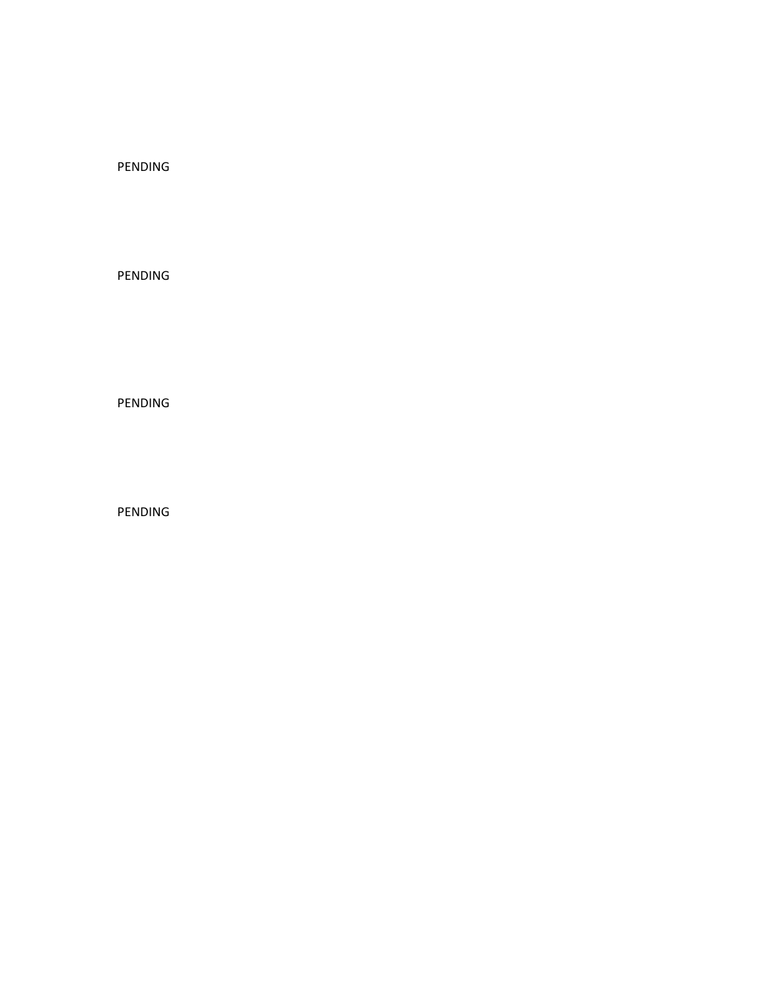### PENDING

PENDING

PENDING

PENDING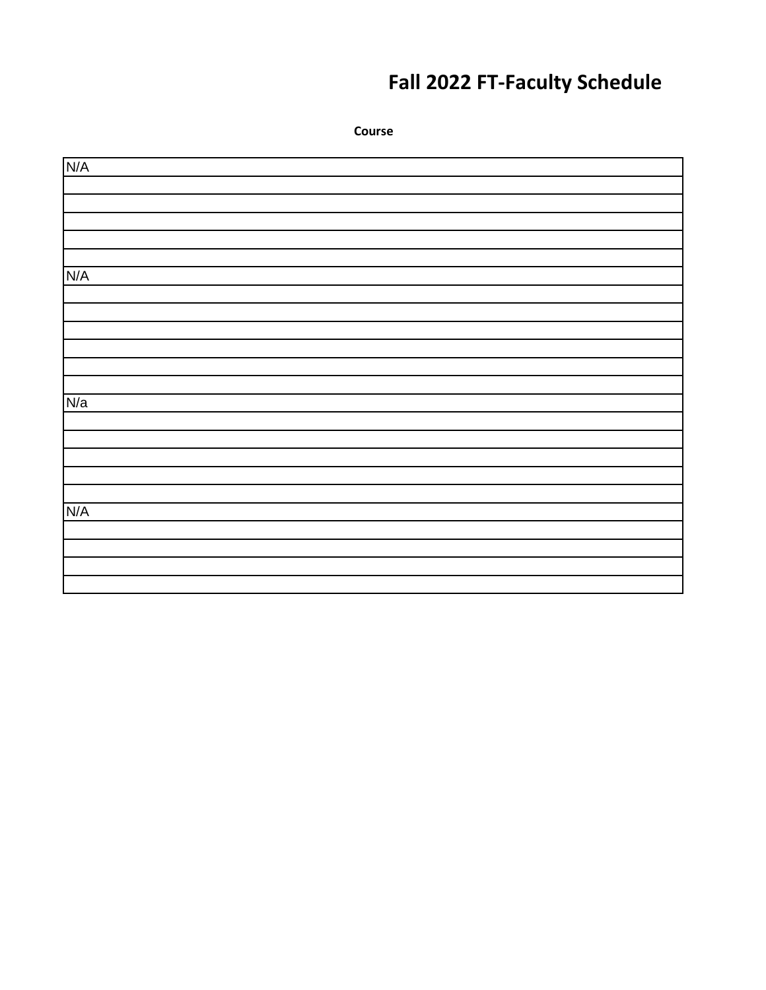### **Fall 2022 FT-Faculty Schedule**

**Course** N/A N/A N/a N/A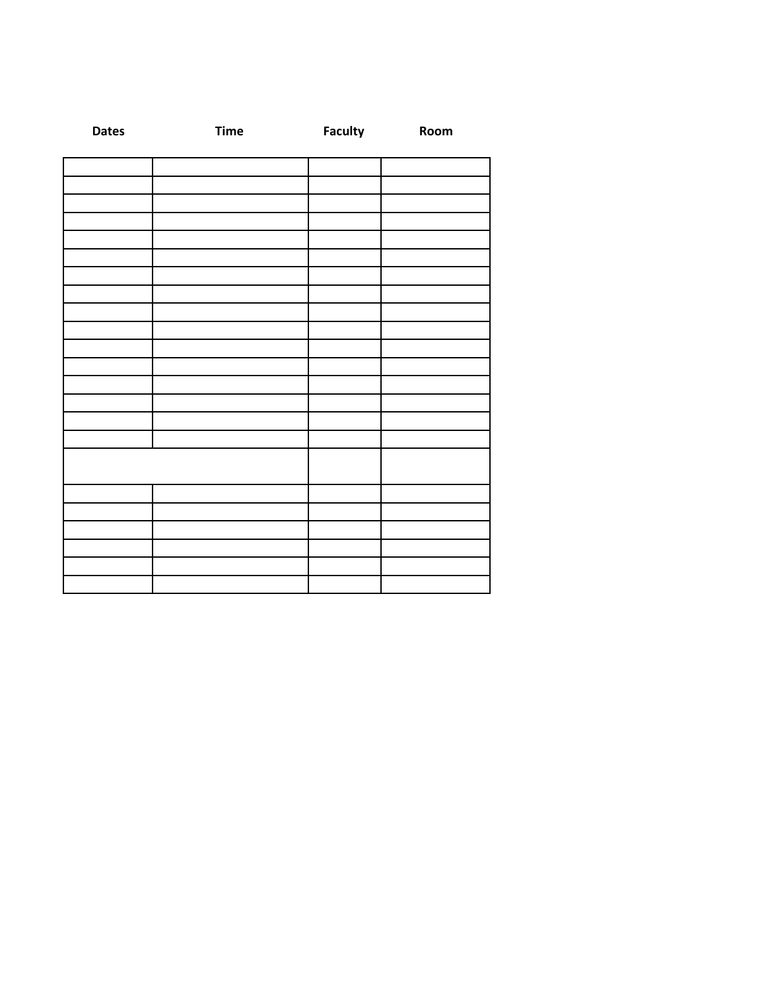| <b>Dates</b> | <b>Time</b> | <b>Faculty</b> | Room |
|--------------|-------------|----------------|------|
|              |             |                |      |
|              |             |                |      |
|              |             |                |      |
|              |             |                |      |
|              |             |                |      |
|              |             |                |      |
|              |             |                |      |
|              |             |                |      |
|              |             |                |      |
|              |             |                |      |
|              |             |                |      |
|              |             |                |      |
|              |             |                |      |
|              |             |                |      |
|              |             |                |      |
|              |             |                |      |
|              |             |                |      |
|              |             |                |      |
|              |             |                |      |
|              |             |                |      |
|              |             |                |      |
|              |             |                |      |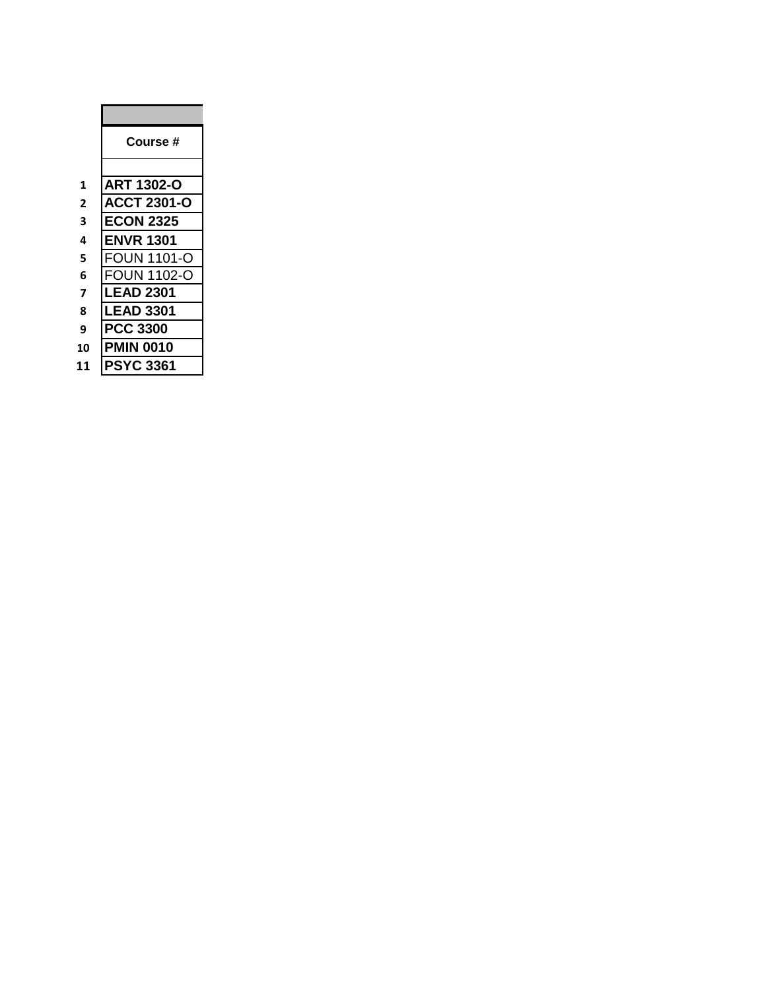|              | <b>Course</b> #    |
|--------------|--------------------|
|              |                    |
| 1            | ART 1302-O         |
| $\mathbf{2}$ | <b>ACCT 2301-O</b> |
| 3            | <b>ECON 2325</b>   |
| 4            | ENVR 1301          |
| 5            | <b>FOUN 1101-O</b> |
| 6            | FOUN 1102-O        |
| 7            | <b>_EAD 2301</b>   |
| 8            | LEAD 3301          |
| 9            | <b>PCC 3300</b>    |
| 10           | MIN 0010           |
| 11           | <b>PSYC 3361</b>   |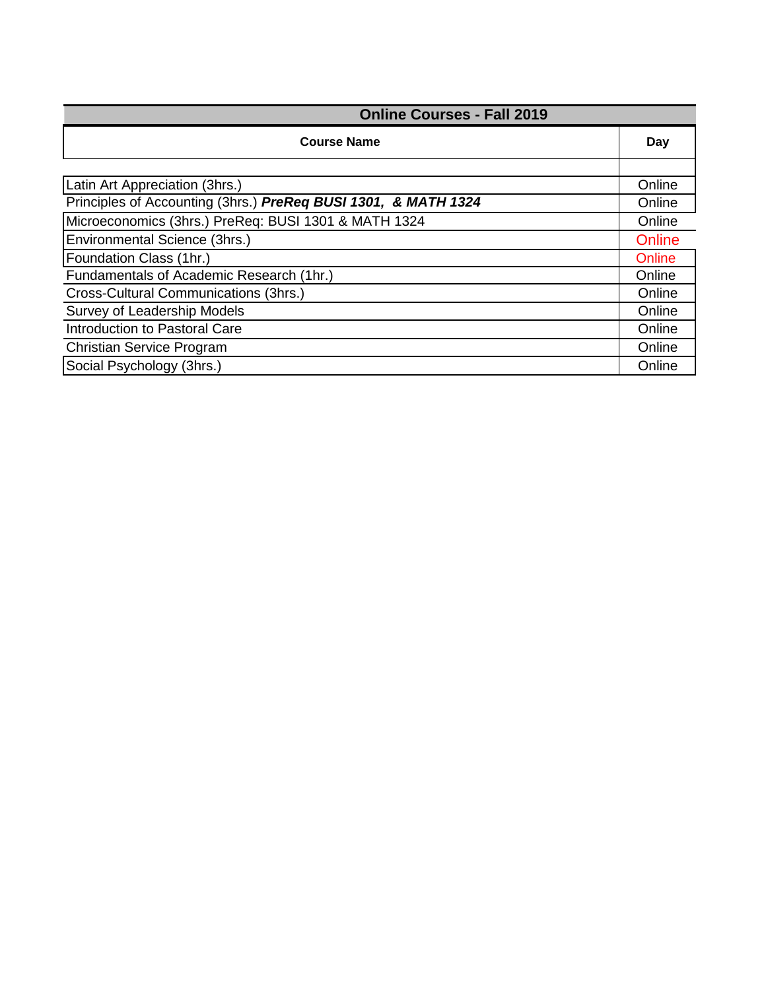| <b>Online Courses - Fall 2019</b>                              |        |
|----------------------------------------------------------------|--------|
| <b>Course Name</b>                                             | Day    |
|                                                                |        |
| Latin Art Appreciation (3hrs.)                                 | Online |
| Principles of Accounting (3hrs.) PreReq BUSI 1301, & MATH 1324 | Online |
| Microeconomics (3hrs.) PreReq: BUSI 1301 & MATH 1324           | Online |
| Environmental Science (3hrs.)                                  | Online |
| Foundation Class (1hr.)                                        | Online |
| Fundamentals of Academic Research (1hr.)                       | Online |
| Cross-Cultural Communications (3hrs.)                          | Online |
| Survey of Leadership Models                                    | Online |
| Introduction to Pastoral Care                                  | Online |
| <b>Christian Service Program</b>                               | Online |
| Social Psychology (3hrs.)                                      | Online |